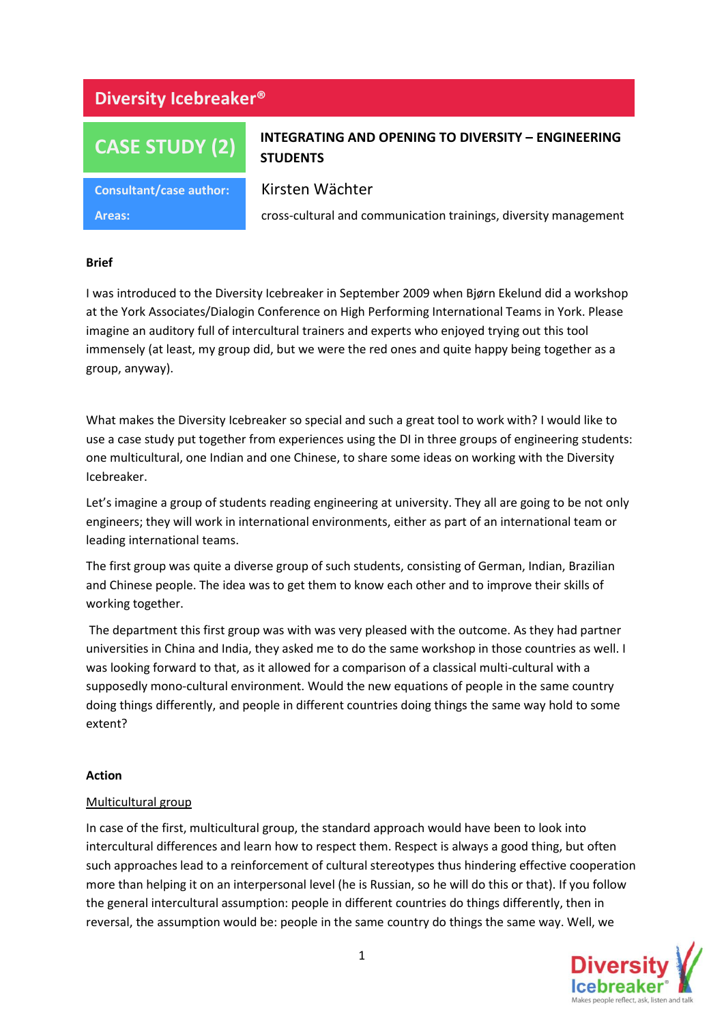## **Diversity Icebreaker®**

# **CASE STUDY (2)**

### **INTEGRATING AND OPENING TO DIVERSITY – ENGINEERING STUDENTS**

**Consultant/case author:** Kirsten Wächter

**Areas:** cross-cultural and communication trainings, diversity management

#### **Brief**

I was introduced to the Diversity Icebreaker in September 2009 when Bjørn Ekelund did a workshop at the York Associates/Dialogin Conference on High Performing International Teams in York. Please imagine an auditory full of intercultural trainers and experts who enjoyed trying out this tool immensely (at least, my group did, but we were the red ones and quite happy being together as a group, anyway).

What makes the Diversity Icebreaker so special and such a great tool to work with? I would like to use a case study put together from experiences using the DI in three groups of engineering students: one multicultural, one Indian and one Chinese, to share some ideas on working with the Diversity Icebreaker.

Let's imagine a group of students reading engineering at university. They all are going to be not only engineers; they will work in international environments, either as part of an international team or leading international teams.

The first group was quite a diverse group of such students, consisting of German, Indian, Brazilian and Chinese people. The idea was to get them to know each other and to improve their skills of working together.

The department this first group was with was very pleased with the outcome. As they had partner universities in China and India, they asked me to do the same workshop in those countries as well. I was looking forward to that, as it allowed for a comparison of a classical multi-cultural with a supposedly mono-cultural environment. Would the new equations of people in the same country doing things differently, and people in different countries doing things the same way hold to some extent?

#### **Action**

#### Multicultural group

In case of the first, multicultural group, the standard approach would have been to look into intercultural differences and learn how to respect them. Respect is always a good thing, but often such approaches lead to a reinforcement of cultural stereotypes thus hindering effective cooperation more than helping it on an interpersonal level (he is Russian, so he will do this or that). If you follow the general intercultural assumption: people in different countries do things differently, then in reversal, the assumption would be: people in the same country do things the same way. Well, we

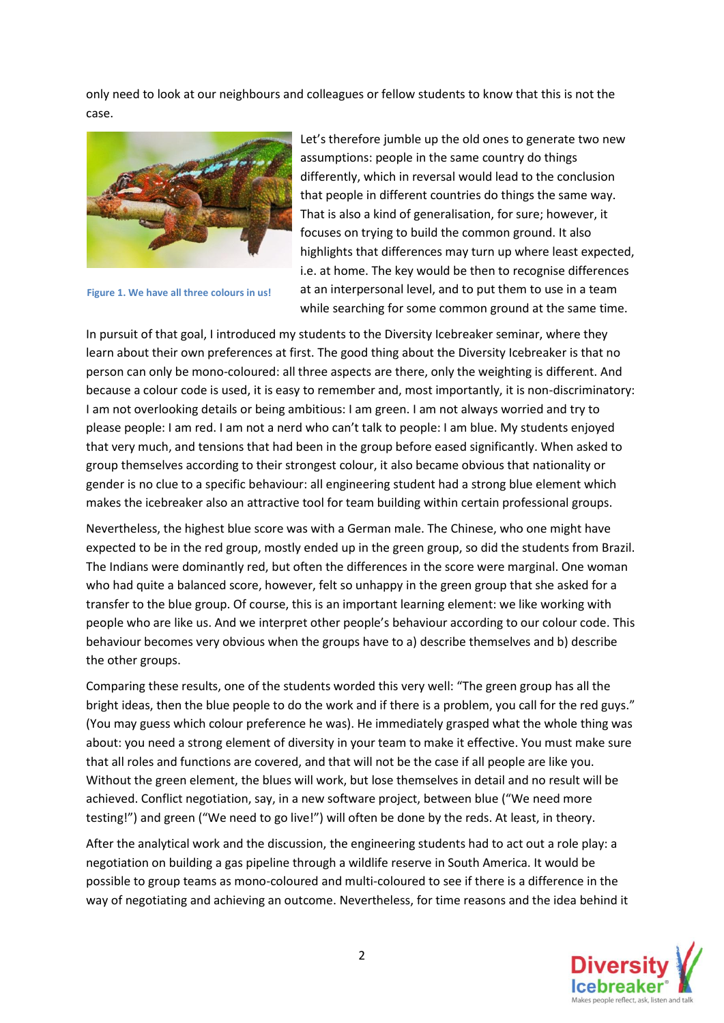only need to look at our neighbours and colleagues or fellow students to know that this is not the case.



**Figure 1. We have all three colours in us!**

Let's therefore jumble up the old ones to generate two new assumptions: people in the same country do things differently, which in reversal would lead to the conclusion that people in different countries do things the same way. That is also a kind of generalisation, for sure; however, it focuses on trying to build the common ground. It also highlights that differences may turn up where least expected, i.e. at home. The key would be then to recognise differences at an interpersonal level, and to put them to use in a team while searching for some common ground at the same time.

In pursuit of that goal, I introduced my students to the Diversity Icebreaker seminar, where they learn about their own preferences at first. The good thing about the Diversity Icebreaker is that no person can only be mono-coloured: all three aspects are there, only the weighting is different. And because a colour code is used, it is easy to remember and, most importantly, it is non-discriminatory: I am not overlooking details or being ambitious: I am green. I am not always worried and try to please people: I am red. I am not a nerd who can't talk to people: I am blue. My students enjoyed that very much, and tensions that had been in the group before eased significantly. When asked to group themselves according to their strongest colour, it also became obvious that nationality or gender is no clue to a specific behaviour: all engineering student had a strong blue element which makes the icebreaker also an attractive tool for team building within certain professional groups.

Nevertheless, the highest blue score was with a German male. The Chinese, who one might have expected to be in the red group, mostly ended up in the green group, so did the students from Brazil. The Indians were dominantly red, but often the differences in the score were marginal. One woman who had quite a balanced score, however, felt so unhappy in the green group that she asked for a transfer to the blue group. Of course, this is an important learning element: we like working with people who are like us. And we interpret other people's behaviour according to our colour code. This behaviour becomes very obvious when the groups have to a) describe themselves and b) describe the other groups.

Comparing these results, one of the students worded this very well: "The green group has all the bright ideas, then the blue people to do the work and if there is a problem, you call for the red guys." (You may guess which colour preference he was). He immediately grasped what the whole thing was about: you need a strong element of diversity in your team to make it effective. You must make sure that all roles and functions are covered, and that will not be the case if all people are like you. Without the green element, the blues will work, but lose themselves in detail and no result will be achieved. Conflict negotiation, say, in a new software project, between blue ("We need more testing!") and green ("We need to go live!") will often be done by the reds. At least, in theory.

After the analytical work and the discussion, the engineering students had to act out a role play: a negotiation on building a gas pipeline through a wildlife reserve in South America. It would be possible to group teams as mono-coloured and multi-coloured to see if there is a difference in the way of negotiating and achieving an outcome. Nevertheless, for time reasons and the idea behind it

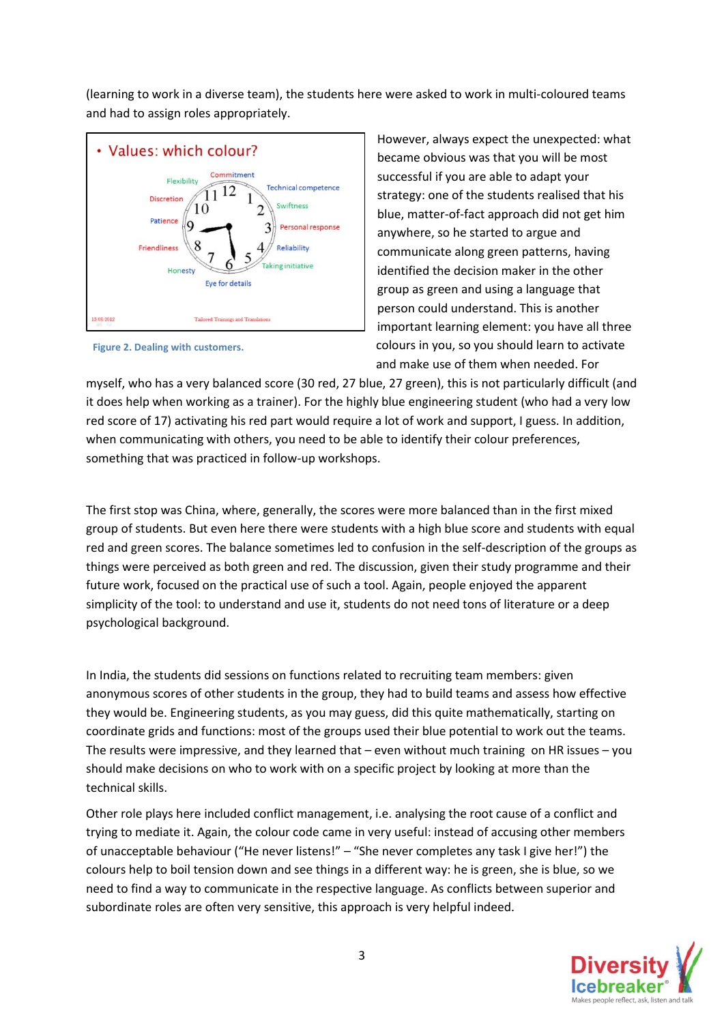(learning to work in a diverse team), the students here were asked to work in multi-coloured teams and had to assign roles appropriately.



**Figure 2. Dealing with customers.**

However, always expect the unexpected: what became obvious was that you will be most successful if you are able to adapt your strategy: one of the students realised that his blue, matter-of-fact approach did not get him anywhere, so he started to argue and communicate along green patterns, having identified the decision maker in the other group as green and using a language that person could understand. This is another important learning element: you have all three colours in you, so you should learn to activate and make use of them when needed. For

myself, who has a very balanced score (30 red, 27 blue, 27 green), this is not particularly difficult (and it does help when working as a trainer). For the highly blue engineering student (who had a very low red score of 17) activating his red part would require a lot of work and support, I guess. In addition, when communicating with others, you need to be able to identify their colour preferences, something that was practiced in follow-up workshops.

The first stop was China, where, generally, the scores were more balanced than in the first mixed group of students. But even here there were students with a high blue score and students with equal red and green scores. The balance sometimes led to confusion in the self-description of the groups as things were perceived as both green and red. The discussion, given their study programme and their future work, focused on the practical use of such a tool. Again, people enjoyed the apparent simplicity of the tool: to understand and use it, students do not need tons of literature or a deep psychological background.

In India, the students did sessions on functions related to recruiting team members: given anonymous scores of other students in the group, they had to build teams and assess how effective they would be. Engineering students, as you may guess, did this quite mathematically, starting on coordinate grids and functions: most of the groups used their blue potential to work out the teams. The results were impressive, and they learned that – even without much training on HR issues – you should make decisions on who to work with on a specific project by looking at more than the technical skills.

Other role plays here included conflict management, i.e. analysing the root cause of a conflict and trying to mediate it. Again, the colour code came in very useful: instead of accusing other members of unacceptable behaviour ("He never listens!" – "She never completes any task I give her!") the colours help to boil tension down and see things in a different way: he is green, she is blue, so we need to find a way to communicate in the respective language. As conflicts between superior and subordinate roles are often very sensitive, this approach is very helpful indeed.

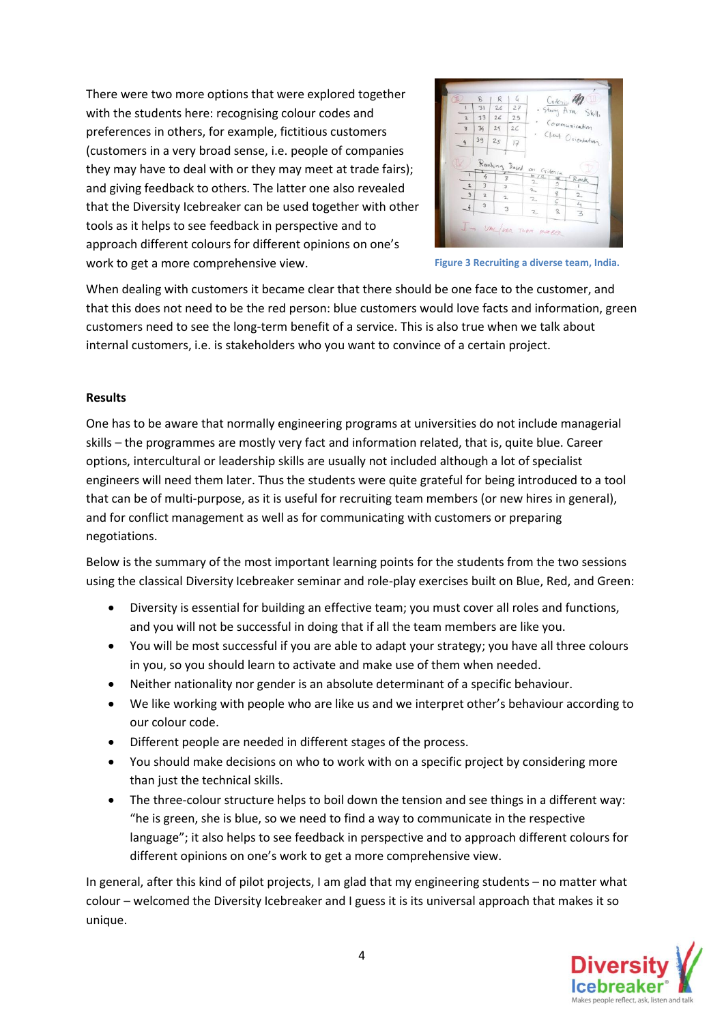There were two more options that were explored together with the students here: recognising colour codes and preferences in others, for example, fictitious customers (customers in a very broad sense, i.e. people of companies they may have to deal with or they may meet at trade fairs); and giving feedback to others. The latter one also revealed that the Diversity Icebreaker can be used together with other tools as it helps to see feedback in perspective and to approach different colours for different opinions on one's work to get a more comprehensive view.



**Figure 3 Recruiting a diverse team, India.**

When dealing with customers it became clear that there should be one face to the customer, and that this does not need to be the red person: blue customers would love facts and information, green customers need to see the long-term benefit of a service. This is also true when we talk about internal customers, i.e. is stakeholders who you want to convince of a certain project.

#### **Results**

One has to be aware that normally engineering programs at universities do not include managerial skills – the programmes are mostly very fact and information related, that is, quite blue. Career options, intercultural or leadership skills are usually not included although a lot of specialist engineers will need them later. Thus the students were quite grateful for being introduced to a tool that can be of multi-purpose, as it is useful for recruiting team members (or new hires in general), and for conflict management as well as for communicating with customers or preparing negotiations.

Below is the summary of the most important learning points for the students from the two sessions using the classical Diversity Icebreaker seminar and role-play exercises built on Blue, Red, and Green:

- Diversity is essential for building an effective team; you must cover all roles and functions, and you will not be successful in doing that if all the team members are like you.
- You will be most successful if you are able to adapt your strategy; you have all three colours in you, so you should learn to activate and make use of them when needed.
- Neither nationality nor gender is an absolute determinant of a specific behaviour.
- We like working with people who are like us and we interpret other's behaviour according to our colour code.
- Different people are needed in different stages of the process.
- You should make decisions on who to work with on a specific project by considering more than just the technical skills.
- The three-colour structure helps to boil down the tension and see things in a different way: "he is green, she is blue, so we need to find a way to communicate in the respective language"; it also helps to see feedback in perspective and to approach different colours for different opinions on one's work to get a more comprehensive view.

In general, after this kind of pilot projects, I am glad that my engineering students – no matter what colour – welcomed the Diversity Icebreaker and I guess it is its universal approach that makes it so unique.